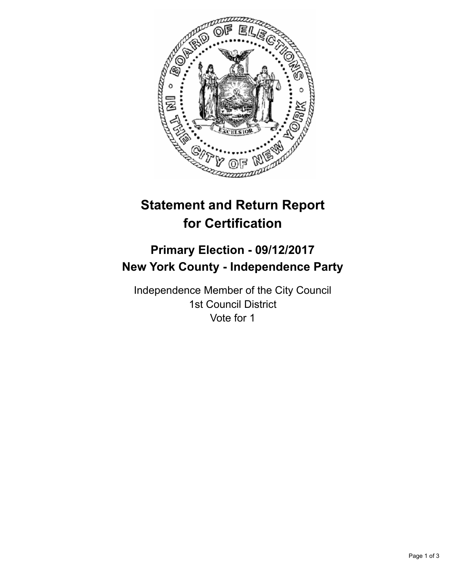

# **Statement and Return Report for Certification**

## **Primary Election - 09/12/2017 New York County - Independence Party**

Independence Member of the City Council 1st Council District Vote for 1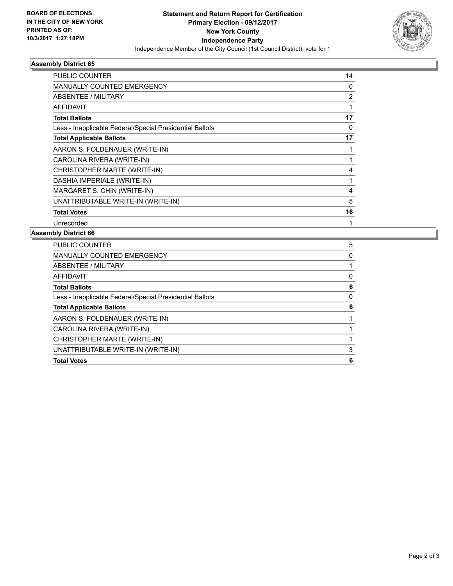

### **Assembly District 65**

| PUBLIC COUNTER                                           | 14 |
|----------------------------------------------------------|----|
| MANUALLY COUNTED EMERGENCY                               | 0  |
| <b>ABSENTEE / MILITARY</b>                               | 2  |
| AFFIDAVIT                                                |    |
| <b>Total Ballots</b>                                     | 17 |
| Less - Inapplicable Federal/Special Presidential Ballots | 0  |
| <b>Total Applicable Ballots</b>                          | 17 |
| AARON S. FOLDENAUER (WRITE-IN)                           |    |
| CAROLINA RIVERA (WRITE-IN)                               |    |
| CHRISTOPHER MARTE (WRITE-IN)                             | 4  |
| DASHIA IMPERIALE (WRITE-IN)                              | 1  |
| MARGARET S. CHIN (WRITE-IN)                              | 4  |
| UNATTRIBUTABLE WRITE-IN (WRITE-IN)                       | 5  |
| <b>Total Votes</b>                                       | 16 |
| Unrecorded                                               |    |

### **Assembly District 66**

| UNATTRIBUTABLE WRITE-IN (WRITE-IN)                       | 3 |
|----------------------------------------------------------|---|
| CHRISTOPHER MARTE (WRITE-IN)                             |   |
| CAROLINA RIVERA (WRITE-IN)                               |   |
| AARON S. FOLDENAUER (WRITE-IN)                           |   |
| <b>Total Applicable Ballots</b>                          | 6 |
| Less - Inapplicable Federal/Special Presidential Ballots | 0 |
| <b>Total Ballots</b>                                     | 6 |
| <b>AFFIDAVIT</b>                                         | 0 |
| ABSENTEE / MILITARY                                      |   |
| <b>MANUALLY COUNTED EMERGENCY</b>                        | 0 |
| <b>PUBLIC COUNTER</b>                                    | 5 |